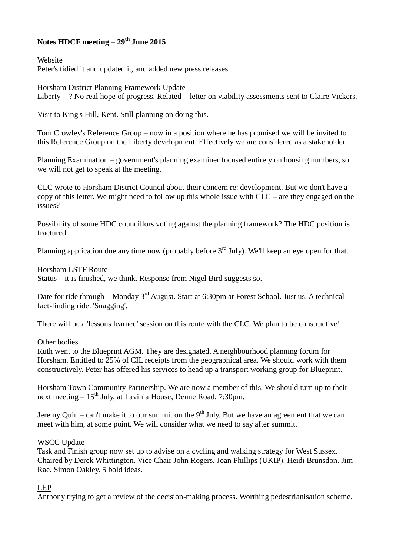# **Notes HDCF meeting – 29th June 2015**

Website

Peter's tidied it and updated it, and added new press releases.

Horsham District Planning Framework Update

Liberty – ? No real hope of progress. Related – letter on viability assessments sent to Claire Vickers.

Visit to King's Hill, Kent. Still planning on doing this.

Tom Crowley's Reference Group – now in a position where he has promised we will be invited to this Reference Group on the Liberty development. Effectively we are considered as a stakeholder.

Planning Examination – government's planning examiner focused entirely on housing numbers, so we will not get to speak at the meeting.

CLC wrote to Horsham District Council about their concern re: development. But we don't have a copy of this letter. We might need to follow up this whole issue with CLC – are they engaged on the issues?

Possibility of some HDC councillors voting against the planning framework? The HDC position is fractured.

Planning application due any time now (probably before  $3<sup>rd</sup>$  July). We'll keep an eye open for that.

## Horsham LSTF Route

Status – it is finished, we think. Response from Nigel Bird suggests so.

Date for ride through – Monday  $3<sup>rd</sup>$  August. Start at 6:30pm at Forest School. Just us. A technical fact-finding ride. 'Snagging'.

There will be a 'lessons learned' session on this route with the CLC. We plan to be constructive!

## Other bodies

Ruth went to the Blueprint AGM. They are designated. A neighbourhood planning forum for Horsham. Entitled to 25% of CIL receipts from the geographical area. We should work with them constructively. Peter has offered his services to head up a transport working group for Blueprint.

Horsham Town Community Partnership. We are now a member of this. We should turn up to their next meeting  $-15<sup>th</sup>$  July, at Lavinia House, Denne Road. 7:30pm.

Jeremy Quin – can't make it to our summit on the  $9<sup>th</sup>$  July. But we have an agreement that we can meet with him, at some point. We will consider what we need to say after summit.

## WSCC Update

Task and Finish group now set up to advise on a cycling and walking strategy for West Sussex. Chaired by Derek Whittington. Vice Chair John Rogers. Joan Phillips (UKIP). Heidi Brunsdon. Jim Rae. Simon Oakley. 5 bold ideas.

## LEP

Anthony trying to get a review of the decision-making process. Worthing pedestrianisation scheme.